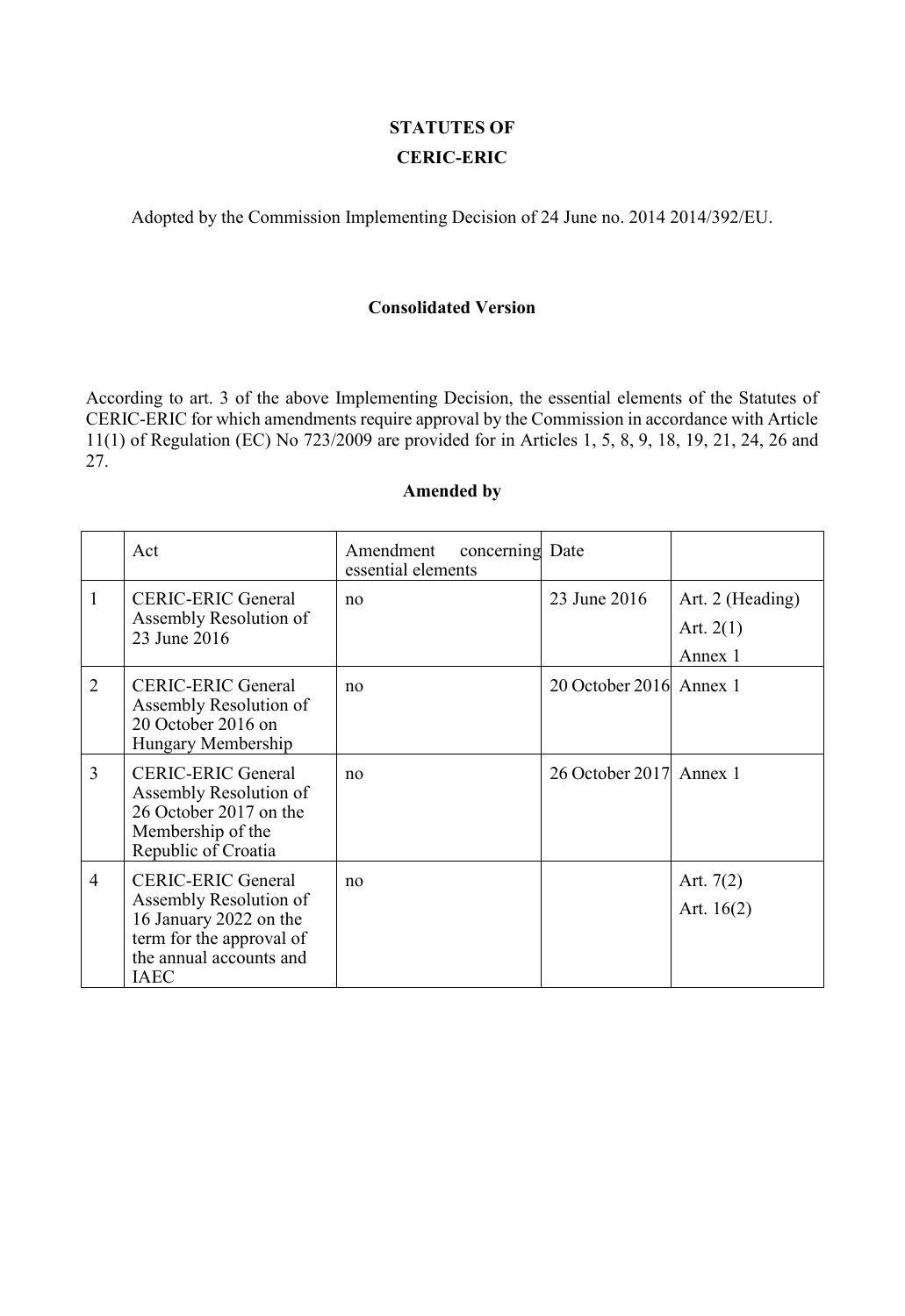# **STATUTES OF CERIC-ERIC**

Adopted by the Commission Implementing Decision of 24 June no. 2014 2014/392/EU.

#### **Consolidated Version**

According to art. 3 of the above Implementing Decision, the essential elements of the Statutes of CERIC-ERIC for which amendments require approval by the Commission in accordance with Article 11(1) of Regulation (EC) No 723/2009 are provided for in Articles 1, 5, 8, 9, 18, 19, 21, 24, 26 and 27.

# **Amended by**

|                | Act                                                                                                                                                 | Amendment<br>concerning Date<br>essential elements |                         |                                            |
|----------------|-----------------------------------------------------------------------------------------------------------------------------------------------------|----------------------------------------------------|-------------------------|--------------------------------------------|
| $\mathbf{1}$   | <b>CERIC-ERIC General</b><br>Assembly Resolution of<br>23 June 2016                                                                                 | no                                                 | 23 June 2016            | Art. 2 (Heading)<br>Art. $2(1)$<br>Annex 1 |
| 2              | <b>CERIC-ERIC General</b><br>Assembly Resolution of<br>20 October 2016 on<br>Hungary Membership                                                     | no                                                 | 20 October 2016 Annex 1 |                                            |
| $\overline{3}$ | <b>CERIC-ERIC General</b><br>Assembly Resolution of<br>26 October 2017 on the<br>Membership of the<br>Republic of Croatia                           | no                                                 | 26 October 2017 Annex 1 |                                            |
| $\overline{4}$ | <b>CERIC-ERIC General</b><br>Assembly Resolution of<br>16 January 2022 on the<br>term for the approval of<br>the annual accounts and<br><b>IAEC</b> | no                                                 |                         | Art. $7(2)$<br>Art. $16(2)$                |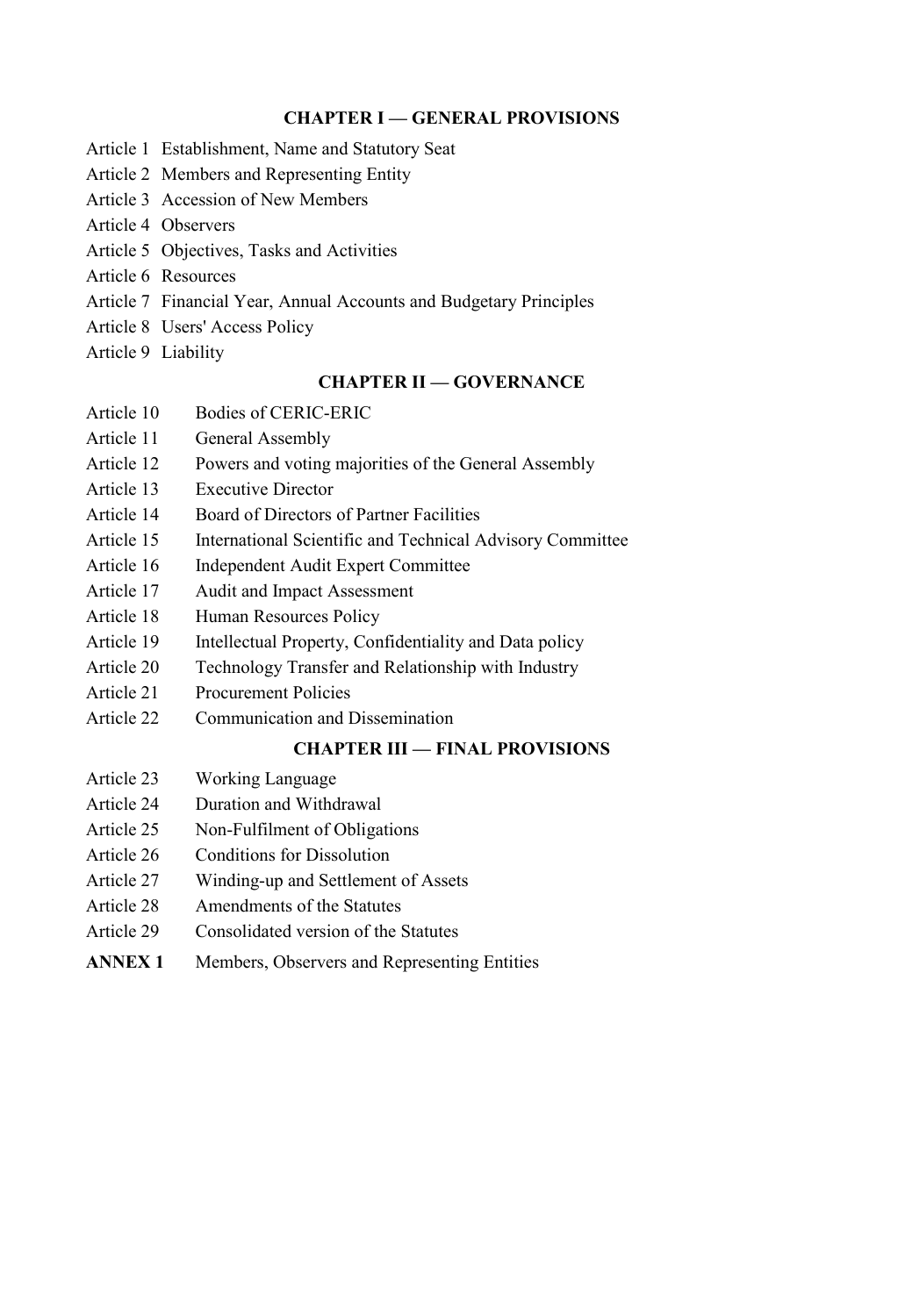#### **CHAPTER I — GENERAL PROVISIONS**

- Article 1 Establishment, Name and Statutory Seat
- Article 2 Members and Representing Entity
- Article 3 Accession of New Members
- Article 4 Observers
- Article 5 Objectives, Tasks and Activities
- Article 6 Resources
- Article 7 Financial Year, Annual Accounts and Budgetary Principles
- Article 8 Users' Access Policy
- Article 9 Liability

## **CHAPTER II — GOVERNANCE**

- Article 10 Bodies of CERIC-ERIC
- Article 11 General Assembly
- Article 12 Powers and voting majorities of the General Assembly
- Article 13 Executive Director
- Article 14 Board of Directors of Partner Facilities
- Article 15 International Scientific and Technical Advisory Committee
- Article 16 Independent Audit Expert Committee
- Article 17 Audit and Impact Assessment
- Article 18 Human Resources Policy
- Article 19 Intellectual Property, Confidentiality and Data policy
- Article 20 Technology Transfer and Relationship with Industry
- Article 21 Procurement Policies
- Article 22 Communication and Dissemination

# **CHAPTER III — FINAL PROVISIONS**

- Article 23 Working Language
- Article 24 Duration and Withdrawal
- Article 25 Non-Fulfilment of Obligations
- Article 26 Conditions for Dissolution
- Article 27 Winding-up and Settlement of Assets
- Article 28 Amendments of the Statutes
- Article 29 Consolidated version of the Statutes
- **ANNEX 1** Members, Observers and Representing Entities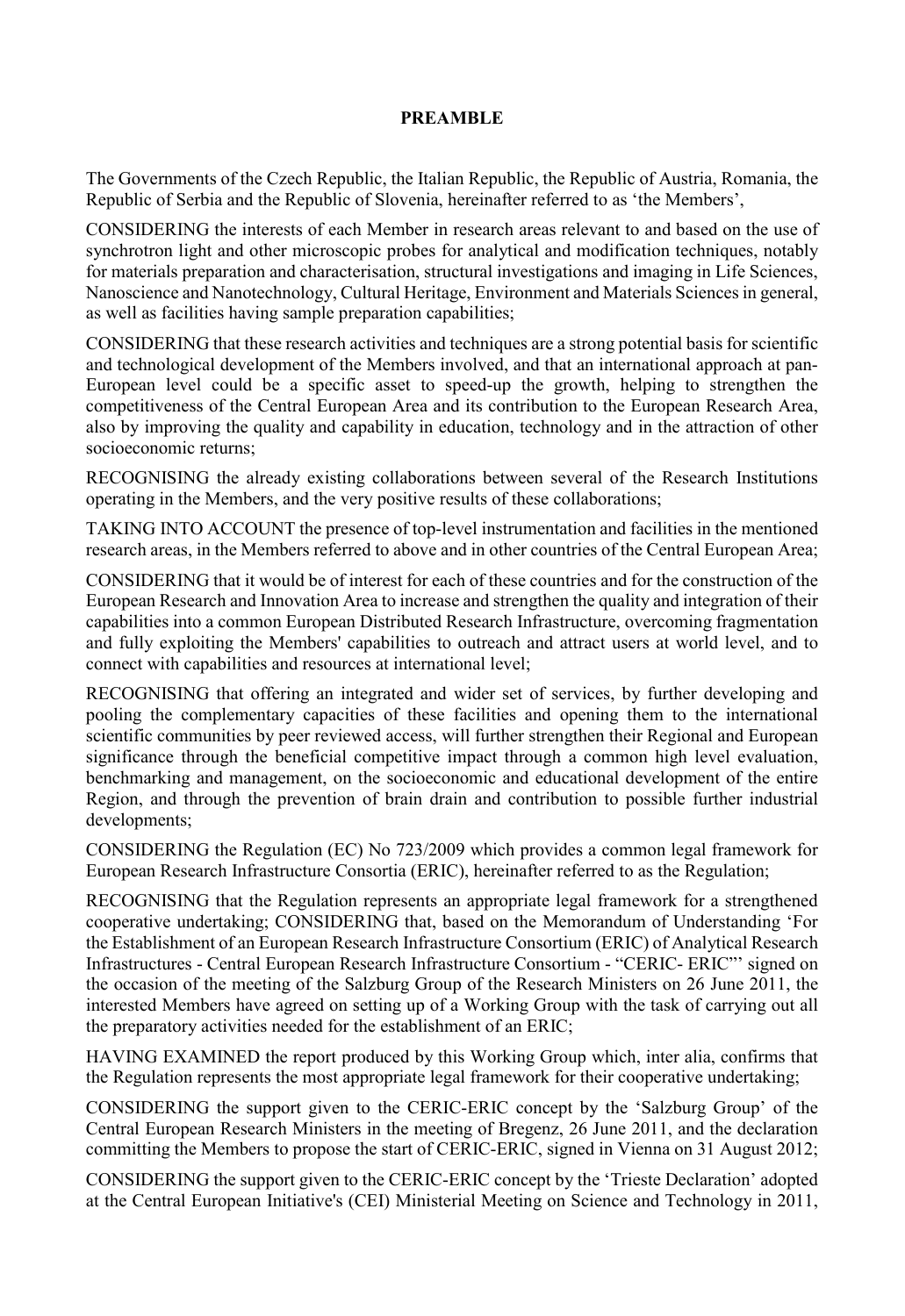#### **PREAMBLE**

The Governments of the Czech Republic, the Italian Republic, the Republic of Austria, Romania, the Republic of Serbia and the Republic of Slovenia, hereinafter referred to as 'the Members',

CONSIDERING the interests of each Member in research areas relevant to and based on the use of synchrotron light and other microscopic probes for analytical and modification techniques, notably for materials preparation and characterisation, structural investigations and imaging in Life Sciences, Nanoscience and Nanotechnology, Cultural Heritage, Environment and Materials Sciences in general, as well as facilities having sample preparation capabilities;

CONSIDERING that these research activities and techniques are a strong potential basis for scientific and technological development of the Members involved, and that an international approach at pan-European level could be a specific asset to speed-up the growth, helping to strengthen the competitiveness of the Central European Area and its contribution to the European Research Area, also by improving the quality and capability in education, technology and in the attraction of other socioeconomic returns;

RECOGNISING the already existing collaborations between several of the Research Institutions operating in the Members, and the very positive results of these collaborations;

TAKING INTO ACCOUNT the presence of top-level instrumentation and facilities in the mentioned research areas, in the Members referred to above and in other countries of the Central European Area;

CONSIDERING that it would be of interest for each of these countries and for the construction of the European Research and Innovation Area to increase and strengthen the quality and integration of their capabilities into a common European Distributed Research Infrastructure, overcoming fragmentation and fully exploiting the Members' capabilities to outreach and attract users at world level, and to connect with capabilities and resources at international level;

RECOGNISING that offering an integrated and wider set of services, by further developing and pooling the complementary capacities of these facilities and opening them to the international scientific communities by peer reviewed access, will further strengthen their Regional and European significance through the beneficial competitive impact through a common high level evaluation, benchmarking and management, on the socioeconomic and educational development of the entire Region, and through the prevention of brain drain and contribution to possible further industrial developments;

CONSIDERING the Regulation (EC) No 723/2009 which provides a common legal framework for European Research Infrastructure Consortia (ERIC), hereinafter referred to as the Regulation;

RECOGNISING that the Regulation represents an appropriate legal framework for a strengthened cooperative undertaking; CONSIDERING that, based on the Memorandum of Understanding 'For the Establishment of an European Research Infrastructure Consortium (ERIC) of Analytical Research Infrastructures - Central European Research Infrastructure Consortium - "CERIC- ERIC"' signed on the occasion of the meeting of the Salzburg Group of the Research Ministers on 26 June 2011, the interested Members have agreed on setting up of a Working Group with the task of carrying out all the preparatory activities needed for the establishment of an ERIC;

HAVING EXAMINED the report produced by this Working Group which, inter alia, confirms that the Regulation represents the most appropriate legal framework for their cooperative undertaking;

CONSIDERING the support given to the CERIC-ERIC concept by the 'Salzburg Group' of the Central European Research Ministers in the meeting of Bregenz, 26 June 2011, and the declaration committing the Members to propose the start of CERIC-ERIC, signed in Vienna on 31 August 2012;

CONSIDERING the support given to the CERIC-ERIC concept by the 'Trieste Declaration' adopted at the Central European Initiative's (CEI) Ministerial Meeting on Science and Technology in 2011,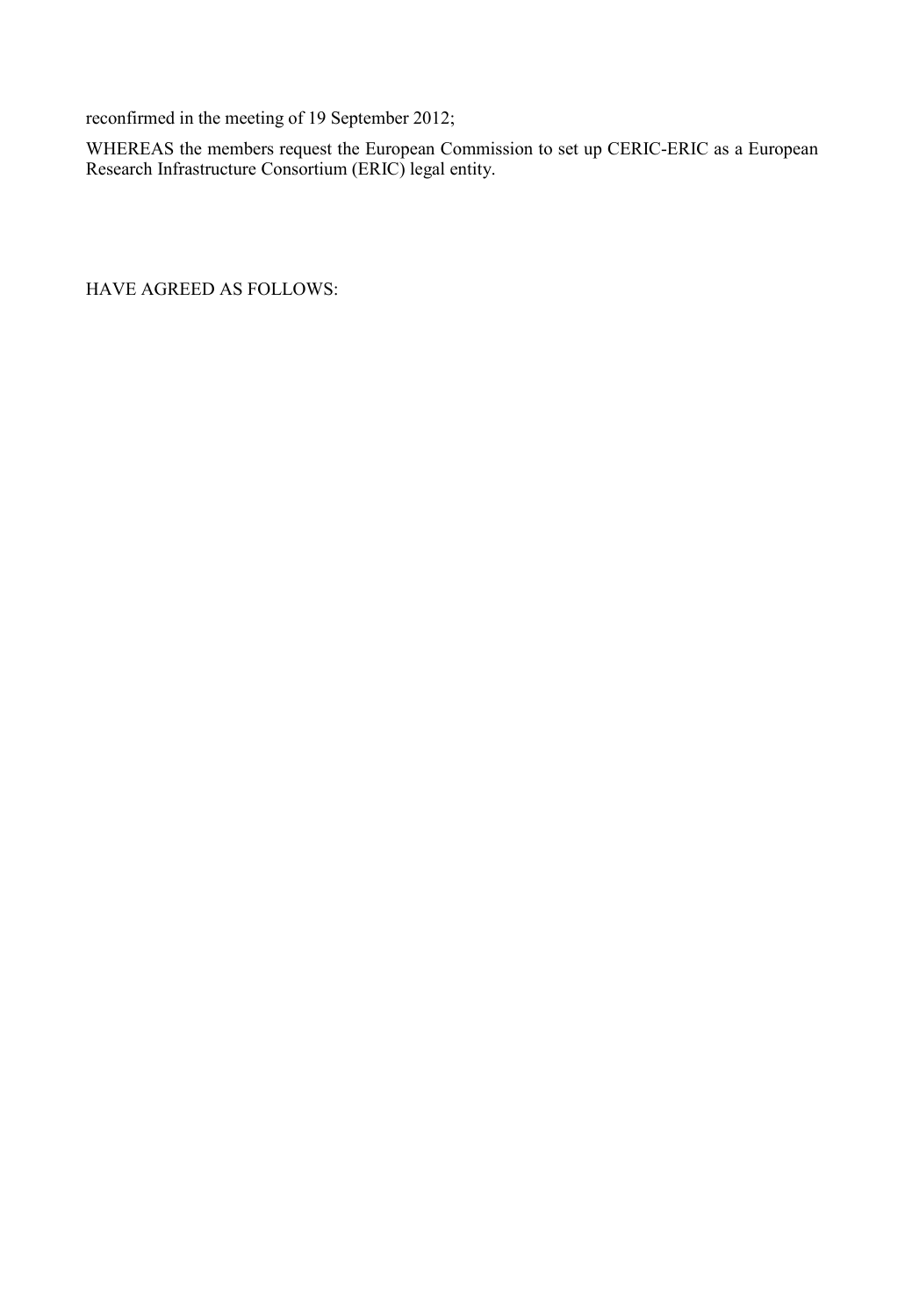reconfirmed in the meeting of 19 September 2012;

WHEREAS the members request the European Commission to set up CERIC-ERIC as a European Research Infrastructure Consortium (ERIC) legal entity.

HAVE AGREED AS FOLLOWS: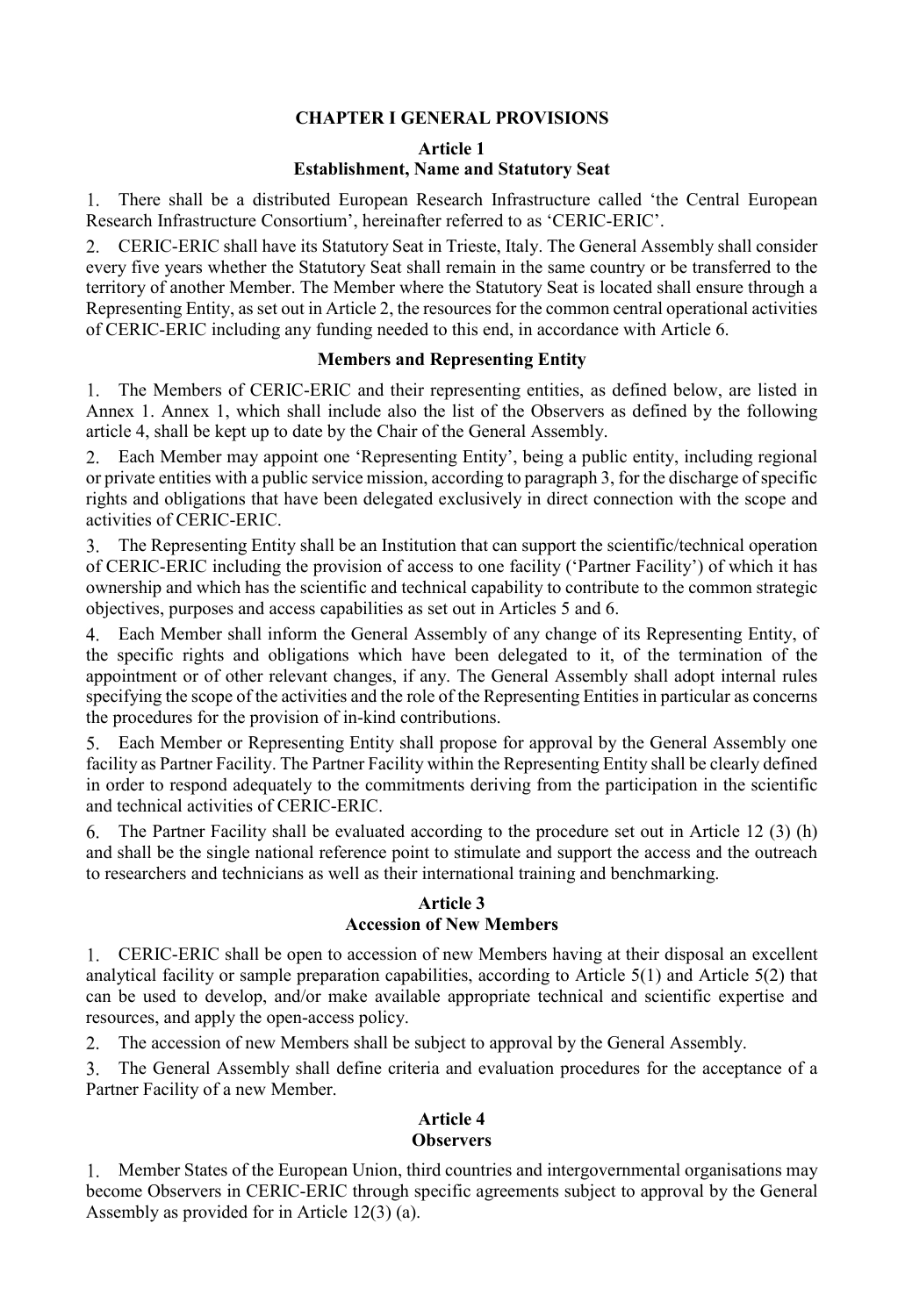# **CHAPTER I GENERAL PROVISIONS**

**Article 1**

#### **Establishment, Name and Statutory Seat**

There shall be a distributed European Research Infrastructure called 'the Central European Research Infrastructure Consortium', hereinafter referred to as 'CERIC-ERIC'.

CERIC-ERIC shall have its Statutory Seat in Trieste, Italy. The General Assembly shall consider every five years whether the Statutory Seat shall remain in the same country or be transferred to the territory of another Member. The Member where the Statutory Seat is located shall ensure through a Representing Entity, as set out in Article 2, the resources for the common central operational activities of CERIC-ERIC including any funding needed to this end, in accordance with Article 6.

#### **Members and Representing Entity**

The Members of CERIC-ERIC and their representing entities, as defined below, are listed in Annex 1. Annex 1, which shall include also the list of the Observers as defined by the following article 4, shall be kept up to date by the Chair of the General Assembly.

Each Member may appoint one 'Representing Entity', being a public entity, including regional or private entities with a public service mission, according to paragraph 3, for the discharge of specific rights and obligations that have been delegated exclusively in direct connection with the scope and activities of CERIC-ERIC.

 $\mathcal{L}$ The Representing Entity shall be an Institution that can support the scientific/technical operation of CERIC-ERIC including the provision of access to one facility ('Partner Facility') of which it has ownership and which has the scientific and technical capability to contribute to the common strategic objectives, purposes and access capabilities as set out in Articles 5 and 6.

Each Member shall inform the General Assembly of any change of its Representing Entity, of the specific rights and obligations which have been delegated to it, of the termination of the appointment or of other relevant changes, if any. The General Assembly shall adopt internal rules specifying the scope of the activities and the role of the Representing Entities in particular as concerns the procedures for the provision of in-kind contributions.

Each Member or Representing Entity shall propose for approval by the General Assembly one facility as Partner Facility. The Partner Facility within the Representing Entity shall be clearly defined in order to respond adequately to the commitments deriving from the participation in the scientific and technical activities of CERIC-ERIC.

6. The Partner Facility shall be evaluated according to the procedure set out in Article 12 (3) (h) and shall be the single national reference point to stimulate and support the access and the outreach to researchers and technicians as well as their international training and benchmarking.

#### **Article 3 Accession of New Members**

CERIC-ERIC shall be open to accession of new Members having at their disposal an excellent analytical facility or sample preparation capabilities, according to Article 5(1) and Article 5(2) that can be used to develop, and/or make available appropriate technical and scientific expertise and resources, and apply the open-access policy.

2. The accession of new Members shall be subject to approval by the General Assembly.

3. The General Assembly shall define criteria and evaluation procedures for the acceptance of a Partner Facility of a new Member.

#### **Article 4 Observers**

1. Member States of the European Union, third countries and intergovernmental organisations may become Observers in CERIC-ERIC through specific agreements subject to approval by the General Assembly as provided for in Article 12(3) (a).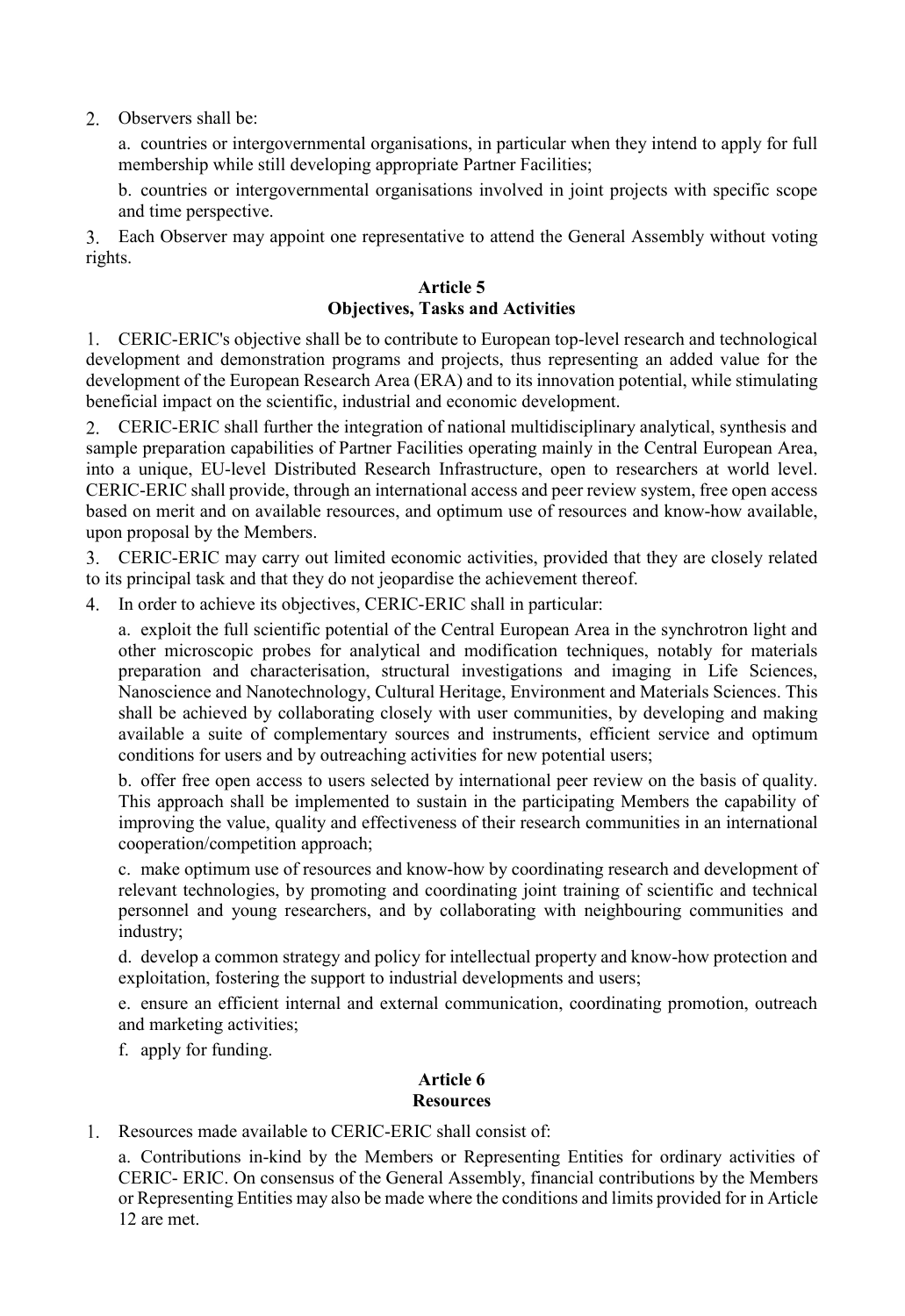2. Observers shall be:

a. countries or intergovernmental organisations, in particular when they intend to apply for full membership while still developing appropriate Partner Facilities;

b. countries or intergovernmental organisations involved in joint projects with specific scope and time perspective.

Each Observer may appoint one representative to attend the General Assembly without voting rights.

#### **Article 5 Objectives, Tasks and Activities**

CERIC-ERIC's objective shall be to contribute to European top-level research and technological development and demonstration programs and projects, thus representing an added value for the development of the European Research Area (ERA) and to its innovation potential, while stimulating beneficial impact on the scientific, industrial and economic development.

CERIC-ERIC shall further the integration of national multidisciplinary analytical, synthesis and sample preparation capabilities of Partner Facilities operating mainly in the Central European Area, into a unique, EU-level Distributed Research Infrastructure, open to researchers at world level. CERIC-ERIC shall provide, through an international access and peer review system, free open access based on merit and on available resources, and optimum use of resources and know-how available, upon proposal by the Members.

CERIC-ERIC may carry out limited economic activities, provided that they are closely related to its principal task and that they do not jeopardise the achievement thereof.

In order to achieve its objectives, CERIC-ERIC shall in particular:

a. exploit the full scientific potential of the Central European Area in the synchrotron light and other microscopic probes for analytical and modification techniques, notably for materials preparation and characterisation, structural investigations and imaging in Life Sciences, Nanoscience and Nanotechnology, Cultural Heritage, Environment and Materials Sciences. This shall be achieved by collaborating closely with user communities, by developing and making available a suite of complementary sources and instruments, efficient service and optimum conditions for users and by outreaching activities for new potential users;

b. offer free open access to users selected by international peer review on the basis of quality. This approach shall be implemented to sustain in the participating Members the capability of improving the value, quality and effectiveness of their research communities in an international cooperation/competition approach;

c. make optimum use of resources and know-how by coordinating research and development of relevant technologies, by promoting and coordinating joint training of scientific and technical personnel and young researchers, and by collaborating with neighbouring communities and industry;

d. develop a common strategy and policy for intellectual property and know-how protection and exploitation, fostering the support to industrial developments and users;

e. ensure an efficient internal and external communication, coordinating promotion, outreach and marketing activities;

f. apply for funding.

## **Article 6 Resources**

1. Resources made available to CERIC-ERIC shall consist of:

a. Contributions in-kind by the Members or Representing Entities for ordinary activities of CERIC- ERIC. On consensus of the General Assembly, financial contributions by the Members or Representing Entities may also be made where the conditions and limits provided for in Article 12 are met.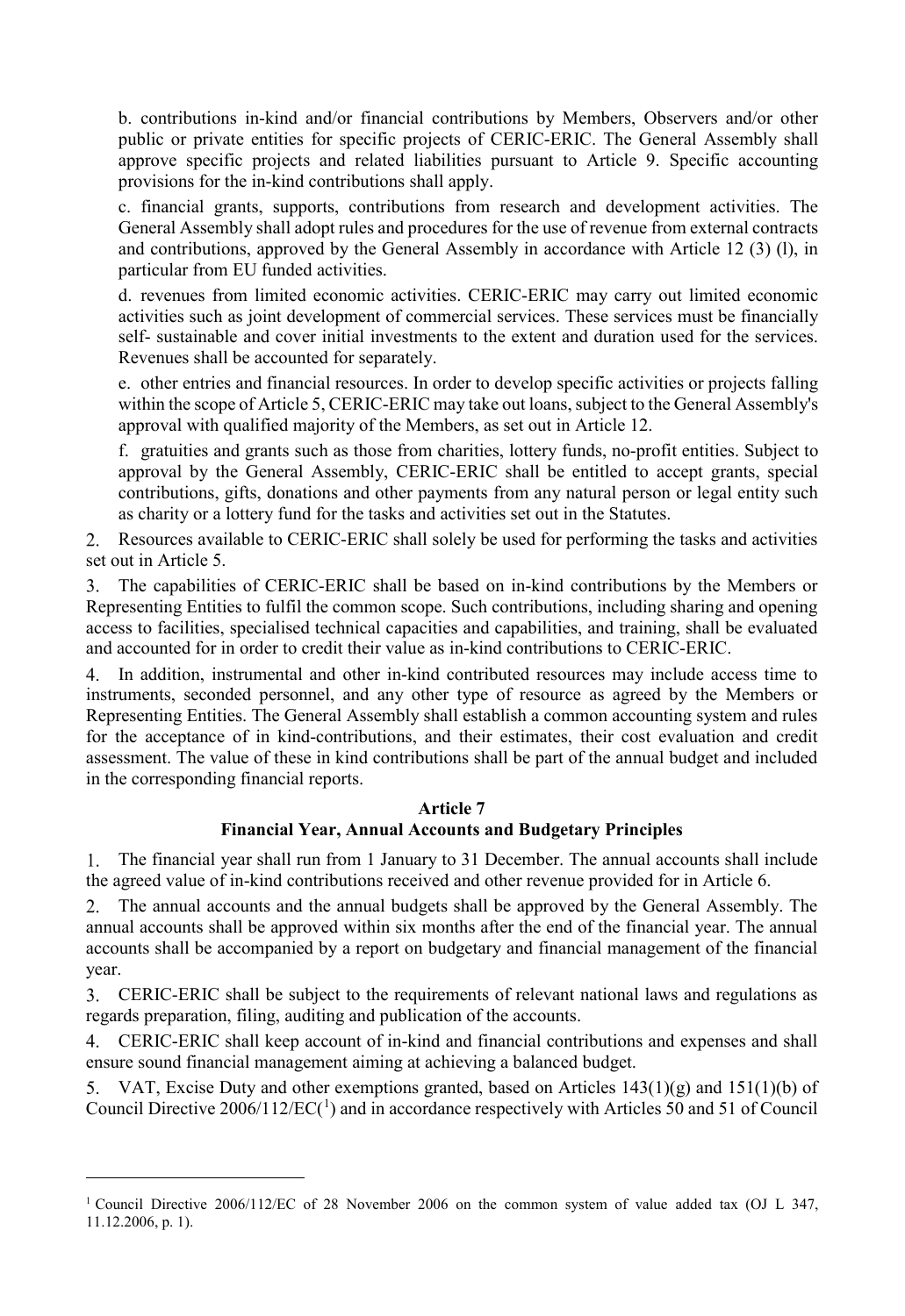b. contributions in-kind and/or financial contributions by Members, Observers and/or other public or private entities for specific projects of CERIC-ERIC. The General Assembly shall approve specific projects and related liabilities pursuant to Article 9. Specific accounting provisions for the in-kind contributions shall apply.

c. financial grants, supports, contributions from research and development activities. The General Assembly shall adopt rules and procedures for the use of revenue from external contracts and contributions, approved by the General Assembly in accordance with Article 12 (3) (l), in particular from EU funded activities.

d. revenues from limited economic activities. CERIC-ERIC may carry out limited economic activities such as joint development of commercial services. These services must be financially self- sustainable and cover initial investments to the extent and duration used for the services. Revenues shall be accounted for separately.

e. other entries and financial resources. In order to develop specific activities or projects falling within the scope of Article 5, CERIC-ERIC may take out loans, subject to the General Assembly's approval with qualified majority of the Members, as set out in Article 12.

f. gratuities and grants such as those from charities, lottery funds, no-profit entities. Subject to approval by the General Assembly, CERIC-ERIC shall be entitled to accept grants, special contributions, gifts, donations and other payments from any natural person or legal entity such as charity or a lottery fund for the tasks and activities set out in the Statutes.

Resources available to CERIC-ERIC shall solely be used for performing the tasks and activities set out in Article 5.

The capabilities of CERIC-ERIC shall be based on in-kind contributions by the Members or Representing Entities to fulfil the common scope. Such contributions, including sharing and opening access to facilities, specialised technical capacities and capabilities, and training, shall be evaluated and accounted for in order to credit their value as in-kind contributions to CERIC-ERIC.

In addition, instrumental and other in-kind contributed resources may include access time to instruments, seconded personnel, and any other type of resource as agreed by the Members or Representing Entities. The General Assembly shall establish a common accounting system and rules for the acceptance of in kind-contributions, and their estimates, their cost evaluation and credit assessment. The value of these in kind contributions shall be part of the annual budget and included in the corresponding financial reports.

#### **Article 7**

# **Financial Year, Annual Accounts and Budgetary Principles**

The financial year shall run from 1 January to 31 December. The annual accounts shall include 1. the agreed value of in-kind contributions received and other revenue provided for in Article 6.

The annual accounts and the annual budgets shall be approved by the General Assembly. The 2. annual accounts shall be approved within six months after the end of the financial year. The annual accounts shall be accompanied by a report on budgetary and financial management of the financial year.

CERIC-ERIC shall be subject to the requirements of relevant national laws and regulations as regards preparation, filing, auditing and publication of the accounts.

CERIC-ERIC shall keep account of in-kind and financial contributions and expenses and shall ensure sound financial management aiming at achieving a balanced budget.

5. VAT, Excise Duty and other exemptions granted, based on Articles  $143(1)(g)$  and  $151(1)(b)$  of Council Directive  $2006/112/EC(^1)$  $2006/112/EC(^1)$  $2006/112/EC(^1)$  and in accordance respectively with Articles 50 and 51 of Council

 $\overline{a}$ 

<span id="page-6-0"></span><sup>1</sup> Council Directive 2006/112/EC of 28 November 2006 on the common system of value added tax (OJ L 347, 11.12.2006, p. 1).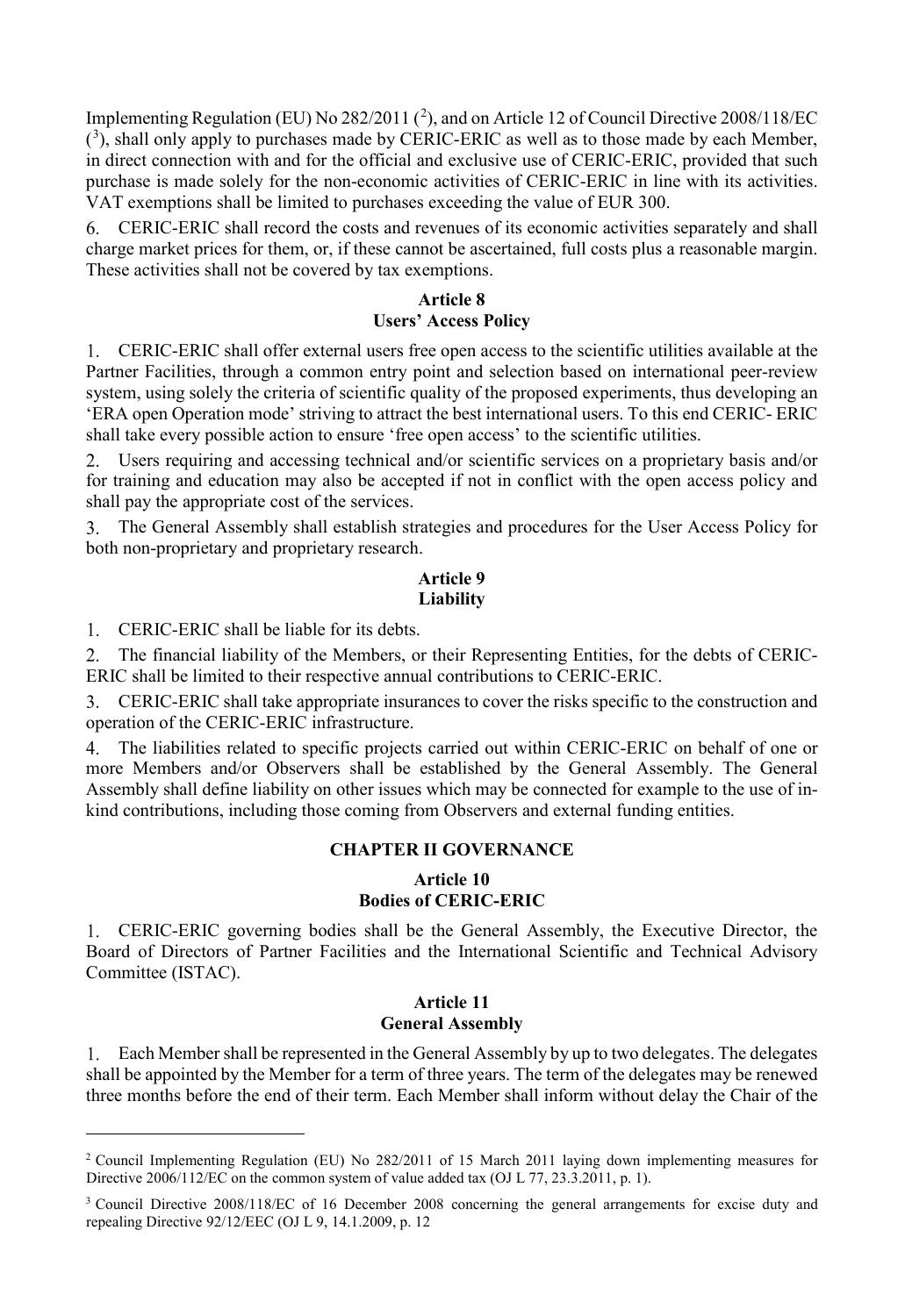Implementing Regulation (EU) No [2](#page-7-0)82/2011 ( $^2$ ), and on Article 12 of Council Directive 2008/118/EC  $(3)$  $(3)$  $(3)$ , shall only apply to purchases made by CERIC-ERIC as well as to those made by each Member, in direct connection with and for the official and exclusive use of CERIC-ERIC, provided that such purchase is made solely for the non-economic activities of CERIC-ERIC in line with its activities. VAT exemptions shall be limited to purchases exceeding the value of EUR 300.

CERIC-ERIC shall record the costs and revenues of its economic activities separately and shall charge market prices for them, or, if these cannot be ascertained, full costs plus a reasonable margin. These activities shall not be covered by tax exemptions.

#### **Article 8**

#### **Users' Access Policy**

CERIC-ERIC shall offer external users free open access to the scientific utilities available at the Partner Facilities, through a common entry point and selection based on international peer-review system, using solely the criteria of scientific quality of the proposed experiments, thus developing an 'ERA open Operation mode' striving to attract the best international users. To this end CERIC- ERIC shall take every possible action to ensure 'free open access' to the scientific utilities.

Users requiring and accessing technical and/or scientific services on a proprietary basis and/or for training and education may also be accepted if not in conflict with the open access policy and shall pay the appropriate cost of the services.

The General Assembly shall establish strategies and procedures for the User Access Policy for 3. both non-proprietary and proprietary research.

#### **Article 9 Liability**

CERIC-ERIC shall be liable for its debts.

 $\overline{a}$ 

The financial liability of the Members, or their Representing Entities, for the debts of CERIC- $2<sup>1</sup>$ ERIC shall be limited to their respective annual contributions to CERIC-ERIC.

CERIC-ERIC shall take appropriate insurances to cover the risks specific to the construction and operation of the CERIC-ERIC infrastructure.

The liabilities related to specific projects carried out within CERIC-ERIC on behalf of one or  $4_{\ldots}$ more Members and/or Observers shall be established by the General Assembly. The General Assembly shall define liability on other issues which may be connected for example to the use of inkind contributions, including those coming from Observers and external funding entities.

#### **CHAPTER II GOVERNANCE**

## **Article 10 Bodies of CERIC-ERIC**

CERIC-ERIC governing bodies shall be the General Assembly, the Executive Director, the Board of Directors of Partner Facilities and the International Scientific and Technical Advisory Committee (ISTAC).

#### **Article 11 General Assembly**

Each Member shall be represented in the General Assembly by up to two delegates. The delegates shall be appointed by the Member for a term of three years. The term of the delegates may be renewed three months before the end of their term. Each Member shall inform without delay the Chair of the

<span id="page-7-0"></span><sup>&</sup>lt;sup>2</sup> Council Implementing Regulation (EU) No 282/2011 of 15 March 2011 laying down implementing measures for Directive 2006/112/EC on the common system of value added tax (OJ L 77, 23.3.2011, p. 1).

<span id="page-7-1"></span><sup>3</sup> Council Directive 2008/118/EC of 16 December 2008 concerning the general arrangements for excise duty and repealing Directive 92/12/EEC (OJ L 9, 14.1.2009, p. 12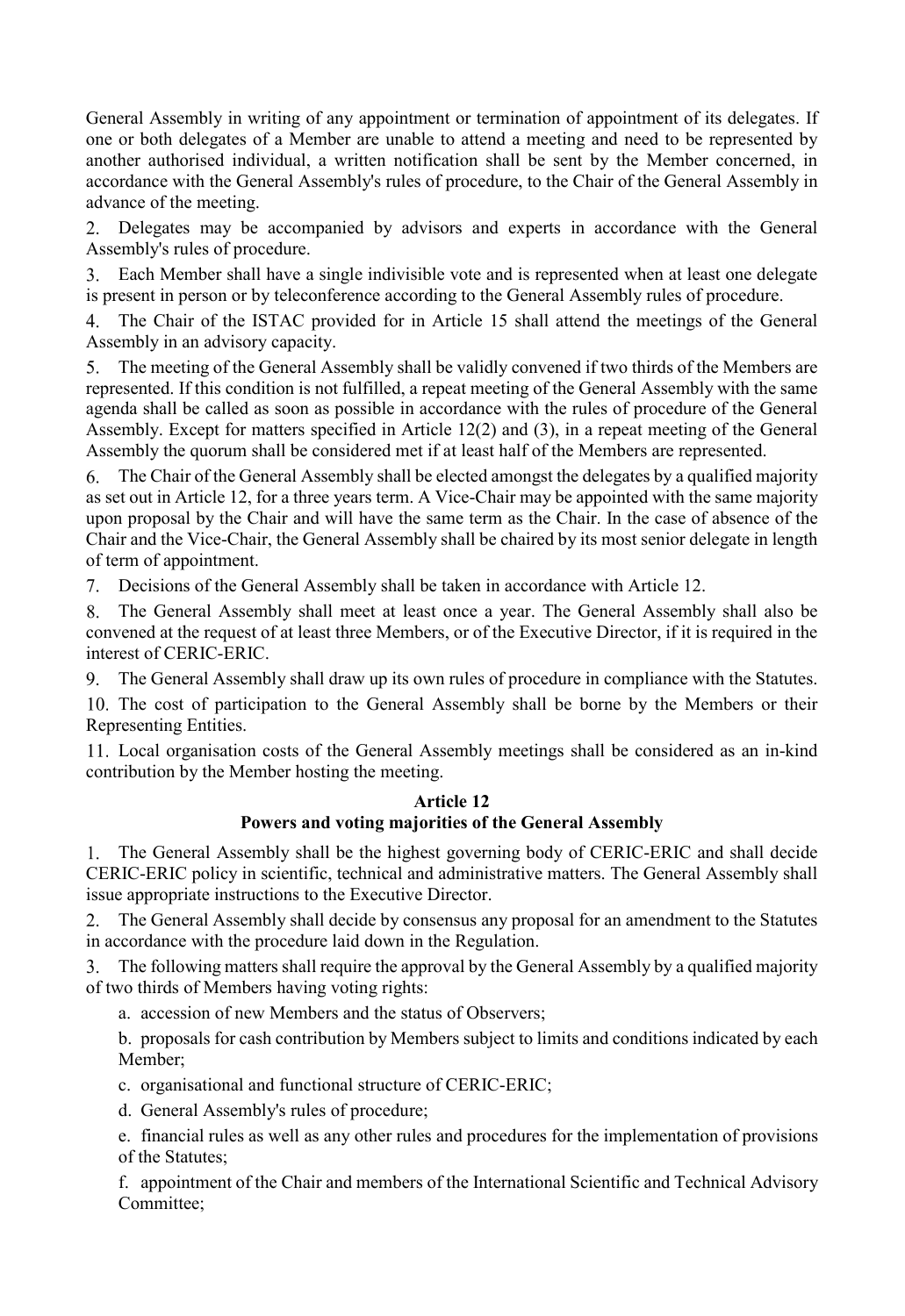General Assembly in writing of any appointment or termination of appointment of its delegates. If one or both delegates of a Member are unable to attend a meeting and need to be represented by another authorised individual, a written notification shall be sent by the Member concerned, in accordance with the General Assembly's rules of procedure, to the Chair of the General Assembly in advance of the meeting.

Delegates may be accompanied by advisors and experts in accordance with the General Assembly's rules of procedure.

Each Member shall have a single indivisible vote and is represented when at least one delegate is present in person or by teleconference according to the General Assembly rules of procedure.

The Chair of the ISTAC provided for in Article 15 shall attend the meetings of the General Assembly in an advisory capacity.

The meeting of the General Assembly shall be validly convened if two thirds of the Members are 5. represented. If this condition is not fulfilled, a repeat meeting of the General Assembly with the same agenda shall be called as soon as possible in accordance with the rules of procedure of the General Assembly. Except for matters specified in Article 12(2) and (3), in a repeat meeting of the General Assembly the quorum shall be considered met if at least half of the Members are represented.

The Chair of the General Assembly shall be elected amongst the delegates by a qualified majority 6. as set out in Article 12, for a three years term. A Vice-Chair may be appointed with the same majority upon proposal by the Chair and will have the same term as the Chair. In the case of absence of the Chair and the Vice-Chair, the General Assembly shall be chaired by its most senior delegate in length of term of appointment.

Decisions of the General Assembly shall be taken in accordance with Article 12.

The General Assembly shall meet at least once a year. The General Assembly shall also be 8. convened at the request of at least three Members, or of the Executive Director, if it is required in the interest of CERIC-ERIC.

The General Assembly shall draw up its own rules of procedure in compliance with the Statutes. 9.

10. The cost of participation to the General Assembly shall be borne by the Members or their Representing Entities.

Local organisation costs of the General Assembly meetings shall be considered as an in-kind contribution by the Member hosting the meeting.

# **Article 12**

## **Powers and voting majorities of the General Assembly**

1. The General Assembly shall be the highest governing body of CERIC-ERIC and shall decide CERIC-ERIC policy in scientific, technical and administrative matters. The General Assembly shall issue appropriate instructions to the Executive Director.

The General Assembly shall decide by consensus any proposal for an amendment to the Statutes in accordance with the procedure laid down in the Regulation.

The following matters shall require the approval by the General Assembly by a qualified majority of two thirds of Members having voting rights:

a. accession of new Members and the status of Observers;

b. proposals for cash contribution by Members subject to limits and conditions indicated by each Member;

c. organisational and functional structure of CERIC-ERIC;

d. General Assembly's rules of procedure;

e. financial rules as well as any other rules and procedures for the implementation of provisions of the Statutes;

f. appointment of the Chair and members of the International Scientific and Technical Advisory Committee;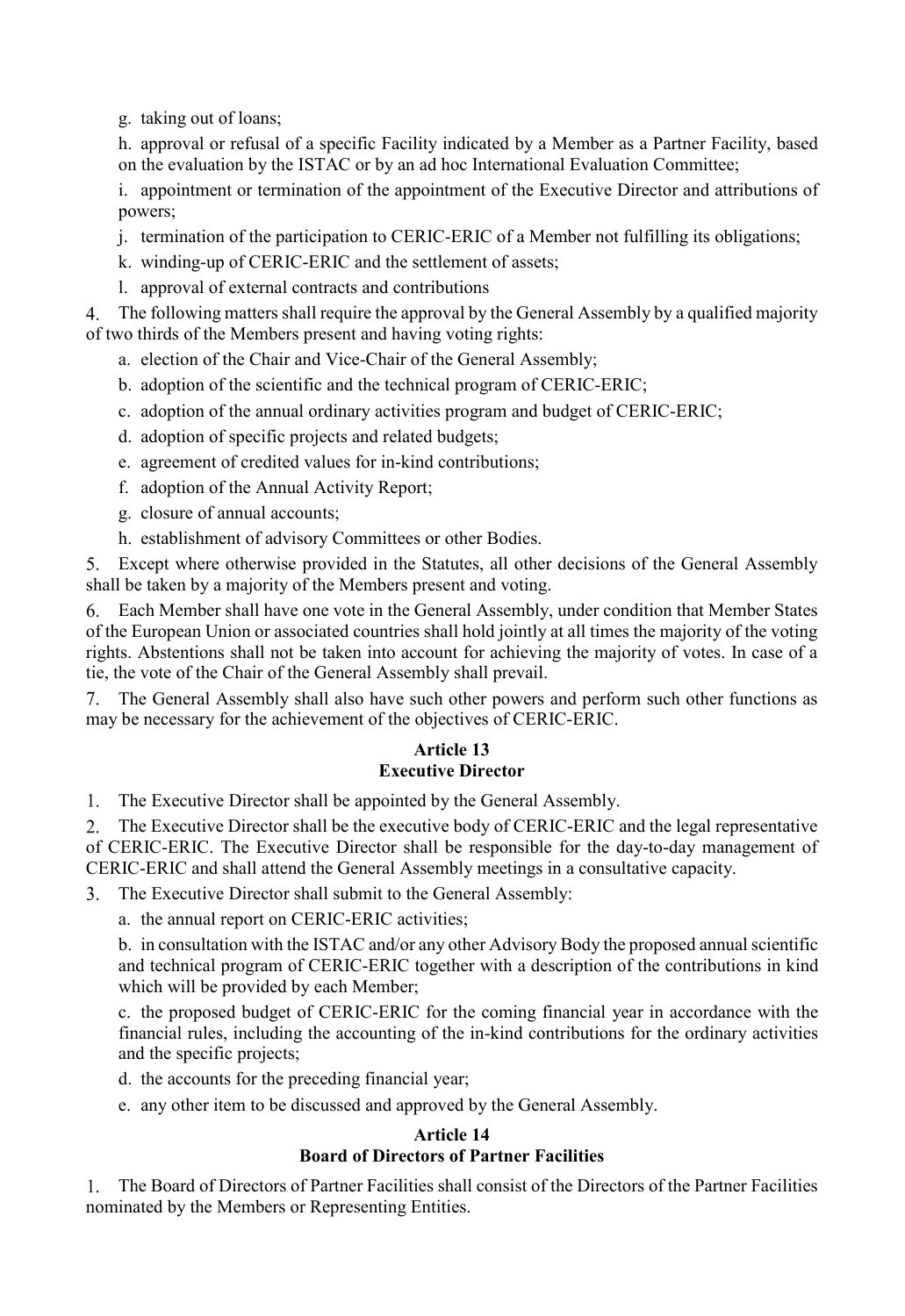g. taking out of loans;

h. approval or refusal of a specific Facility indicated by a Member as a Partner Facility, based on the evaluation by the ISTAC or by an ad hoc International Evaluation Committee;

i. appointment or termination of the appointment of the Executive Director and attributions of powers;

- j. termination of the participation to CERIC-ERIC of a Member not fulfilling its obligations;
- k. winding-up of CERIC-ERIC and the settlement of assets;
- l. approval of external contracts and contributions

The following matters shall require the approval by the General Assembly by a qualified majority of two thirds of the Members present and having voting rights:

- a. election of the Chair and Vice-Chair of the General Assembly;
- b. adoption of the scientific and the technical program of CERIC-ERIC;
- c. adoption of the annual ordinary activities program and budget of CERIC-ERIC;
- d. adoption of specific projects and related budgets;
- e. agreement of credited values for in-kind contributions;
- f. adoption of the Annual Activity Report;
- g. closure of annual accounts;
- h. establishment of advisory Committees or other Bodies.

Except where otherwise provided in the Statutes, all other decisions of the General Assembly shall be taken by a majority of the Members present and voting.

Each Member shall have one vote in the General Assembly, under condition that Member States of the European Union or associated countries shall hold jointly at all times the majority of the voting rights. Abstentions shall not be taken into account for achieving the majority of votes. In case of a tie, the vote of the Chair of the General Assembly shall prevail.

The General Assembly shall also have such other powers and perform such other functions as may be necessary for the achievement of the objectives of CERIC-ERIC.

#### **Article 13 Executive Director**

1. The Executive Director shall be appointed by the General Assembly.

The Executive Director shall be the executive body of CERIC-ERIC and the legal representative 2. of CERIC-ERIC. The Executive Director shall be responsible for the day-to-day management of CERIC-ERIC and shall attend the General Assembly meetings in a consultative capacity.

The Executive Director shall submit to the General Assembly:

a. the annual report on CERIC-ERIC activities;

b. in consultation with the ISTAC and/or any other Advisory Body the proposed annual scientific and technical program of CERIC-ERIC together with a description of the contributions in kind which will be provided by each Member;

c. the proposed budget of CERIC-ERIC for the coming financial year in accordance with the financial rules, including the accounting of the in-kind contributions for the ordinary activities and the specific projects;

d. the accounts for the preceding financial year;

e. any other item to be discussed and approved by the General Assembly.

#### **Article 14 Board of Directors of Partner Facilities**

The Board of Directors of Partner Facilities shall consist of the Directors of the Partner Facilities nominated by the Members or Representing Entities.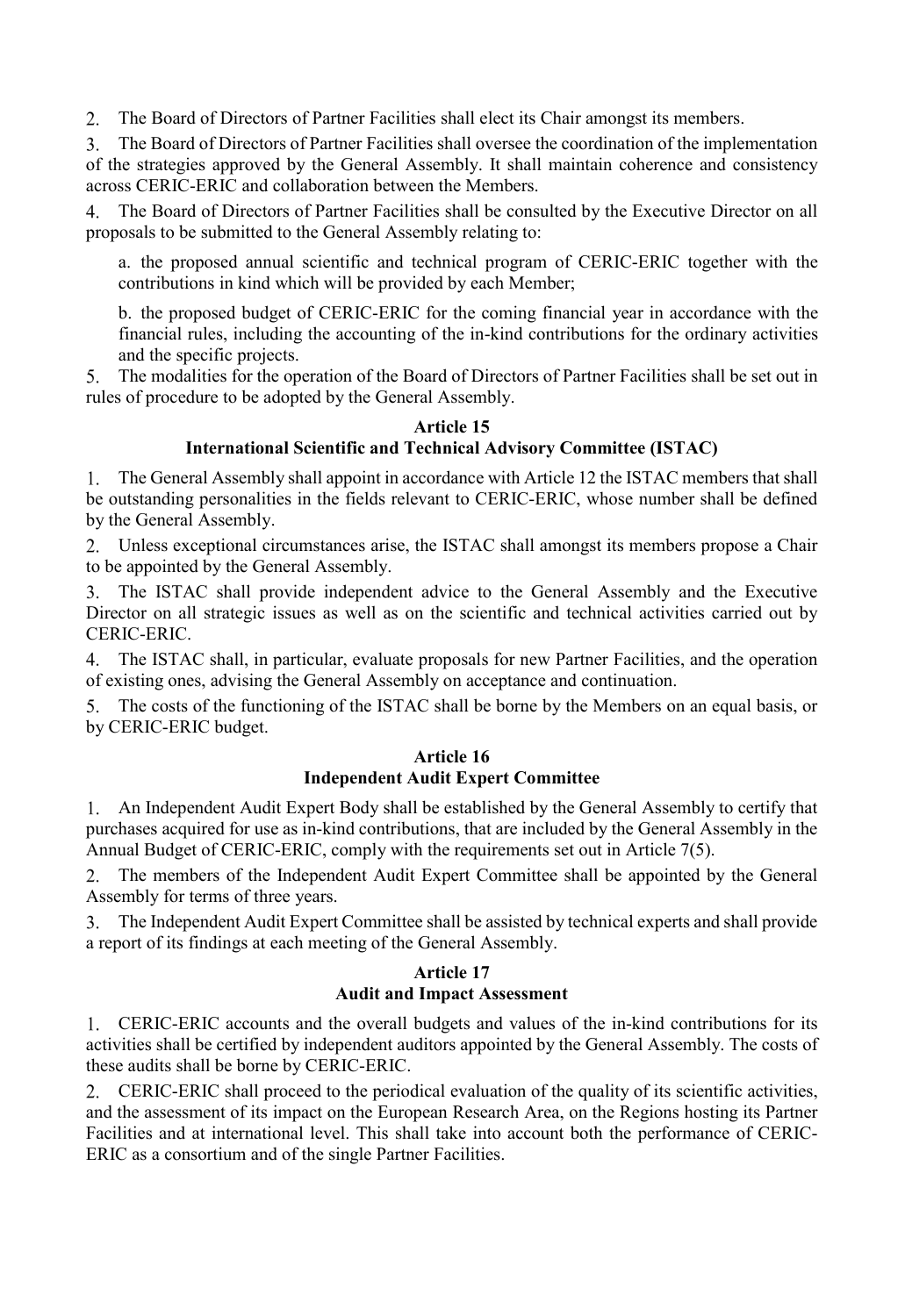2. The Board of Directors of Partner Facilities shall elect its Chair amongst its members.

The Board of Directors of Partner Facilities shall oversee the coordination of the implementation  $3<sub>1</sub>$ of the strategies approved by the General Assembly. It shall maintain coherence and consistency across CERIC-ERIC and collaboration between the Members.

4. The Board of Directors of Partner Facilities shall be consulted by the Executive Director on all proposals to be submitted to the General Assembly relating to:

a. the proposed annual scientific and technical program of CERIC-ERIC together with the contributions in kind which will be provided by each Member;

b. the proposed budget of CERIC-ERIC for the coming financial year in accordance with the financial rules, including the accounting of the in-kind contributions for the ordinary activities and the specific projects.

The modalities for the operation of the Board of Directors of Partner Facilities shall be set out in 5. rules of procedure to be adopted by the General Assembly.

### **Article 15**

## **International Scientific and Technical Advisory Committee (ISTAC)**

The General Assembly shall appoint in accordance with Article 12 the ISTAC members that shall 1. be outstanding personalities in the fields relevant to CERIC-ERIC, whose number shall be defined by the General Assembly.

Unless exceptional circumstances arise, the ISTAC shall amongst its members propose a Chair to be appointed by the General Assembly.

The ISTAC shall provide independent advice to the General Assembly and the Executive Director on all strategic issues as well as on the scientific and technical activities carried out by CERIC-ERIC.

The ISTAC shall, in particular, evaluate proposals for new Partner Facilities, and the operation of existing ones, advising the General Assembly on acceptance and continuation.

The costs of the functioning of the ISTAC shall be borne by the Members on an equal basis, or by CERIC-ERIC budget.

#### **Article 16 Independent Audit Expert Committee**

An Independent Audit Expert Body shall be established by the General Assembly to certify that 1. purchases acquired for use as in-kind contributions, that are included by the General Assembly in the Annual Budget of CERIC-ERIC, comply with the requirements set out in Article 7(5).

The members of the Independent Audit Expert Committee shall be appointed by the General 2. Assembly for terms of three years.

The Independent Audit Expert Committee shall be assisted by technical experts and shall provide  $3<sub>1</sub>$ a report of its findings at each meeting of the General Assembly.

#### **Article 17 Audit and Impact Assessment**

CERIC-ERIC accounts and the overall budgets and values of the in-kind contributions for its activities shall be certified by independent auditors appointed by the General Assembly. The costs of these audits shall be borne by CERIC-ERIC.

CERIC-ERIC shall proceed to the periodical evaluation of the quality of its scientific activities, and the assessment of its impact on the European Research Area, on the Regions hosting its Partner Facilities and at international level. This shall take into account both the performance of CERIC-ERIC as a consortium and of the single Partner Facilities.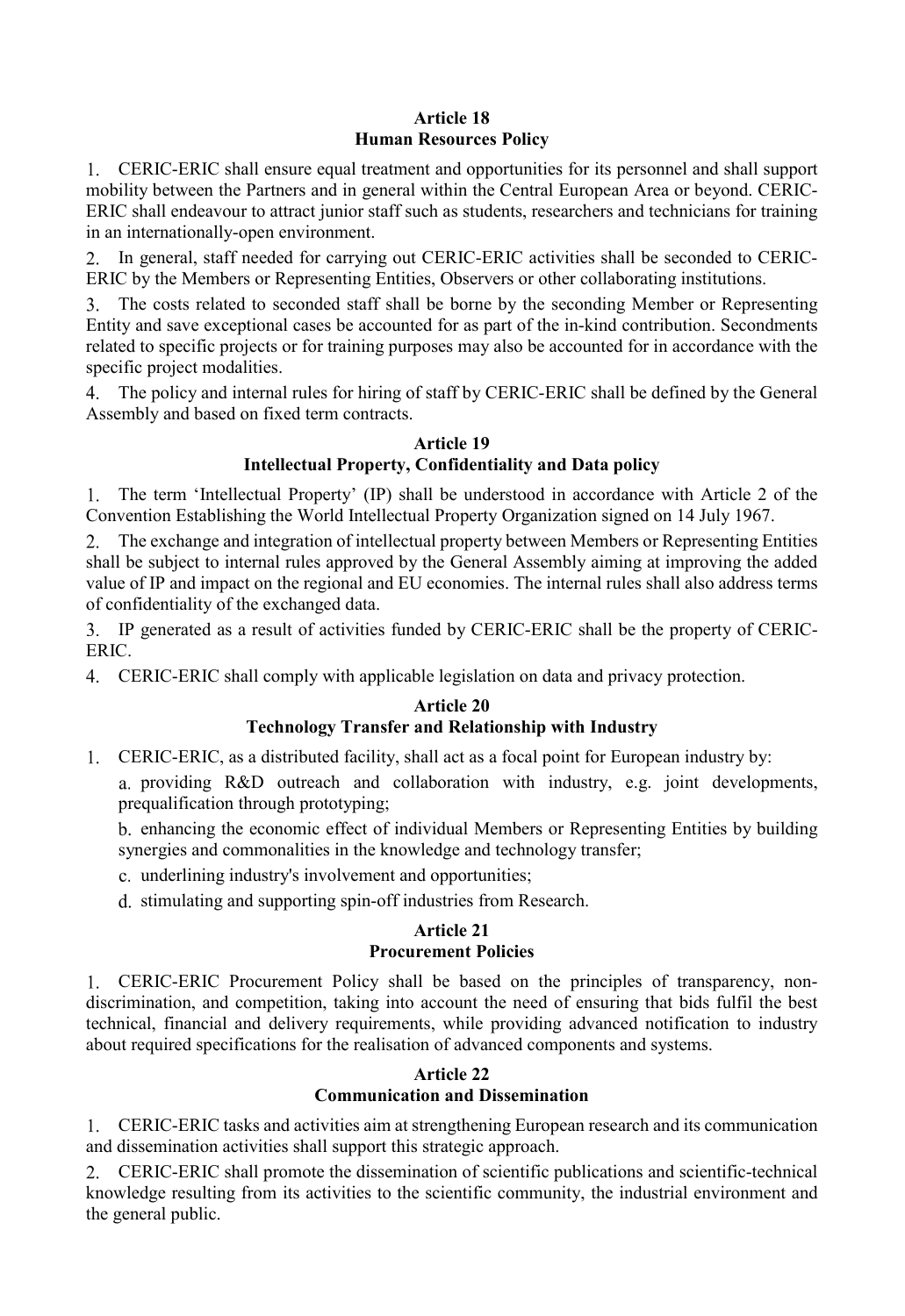# **Article 18 Human Resources Policy**

CERIC-ERIC shall ensure equal treatment and opportunities for its personnel and shall support mobility between the Partners and in general within the Central European Area or beyond. CERIC-ERIC shall endeavour to attract junior staff such as students, researchers and technicians for training in an internationally-open environment.

In general, staff needed for carrying out CERIC-ERIC activities shall be seconded to CERIC-2. ERIC by the Members or Representing Entities, Observers or other collaborating institutions.

The costs related to seconded staff shall be borne by the seconding Member or Representing Entity and save exceptional cases be accounted for as part of the in-kind contribution. Secondments related to specific projects or for training purposes may also be accounted for in accordance with the specific project modalities.

The policy and internal rules for hiring of staff by CERIC-ERIC shall be defined by the General Assembly and based on fixed term contracts.

#### **Article 19 Intellectual Property, Confidentiality and Data policy**

1. The term 'Intellectual Property' (IP) shall be understood in accordance with Article 2 of the Convention Establishing the World Intellectual Property Organization signed on 14 July 1967.

The exchange and integration of intellectual property between Members or Representing Entities shall be subject to internal rules approved by the General Assembly aiming at improving the added value of IP and impact on the regional and EU economies. The internal rules shall also address terms of confidentiality of the exchanged data.

IP generated as a result of activities funded by CERIC-ERIC shall be the property of CERIC-ERIC.

CERIC-ERIC shall comply with applicable legislation on data and privacy protection.

# **Article 20**

# **Technology Transfer and Relationship with Industry**

- CERIC-ERIC, as a distributed facility, shall act as a focal point for European industry by:
	- a. providing R&D outreach and collaboration with industry, e.g. joint developments, prequalification through prototyping;

b. enhancing the economic effect of individual Members or Representing Entities by building synergies and commonalities in the knowledge and technology transfer;

- c. underlining industry's involvement and opportunities;
- d. stimulating and supporting spin-off industries from Research.

# **Article 21 Procurement Policies**

CERIC-ERIC Procurement Policy shall be based on the principles of transparency, nondiscrimination, and competition, taking into account the need of ensuring that bids fulfil the best technical, financial and delivery requirements, while providing advanced notification to industry about required specifications for the realisation of advanced components and systems.

# **Article 22**

# **Communication and Dissemination**

CERIC-ERIC tasks and activities aim at strengthening European research and its communication and dissemination activities shall support this strategic approach.

CERIC-ERIC shall promote the dissemination of scientific publications and scientific-technical knowledge resulting from its activities to the scientific community, the industrial environment and the general public.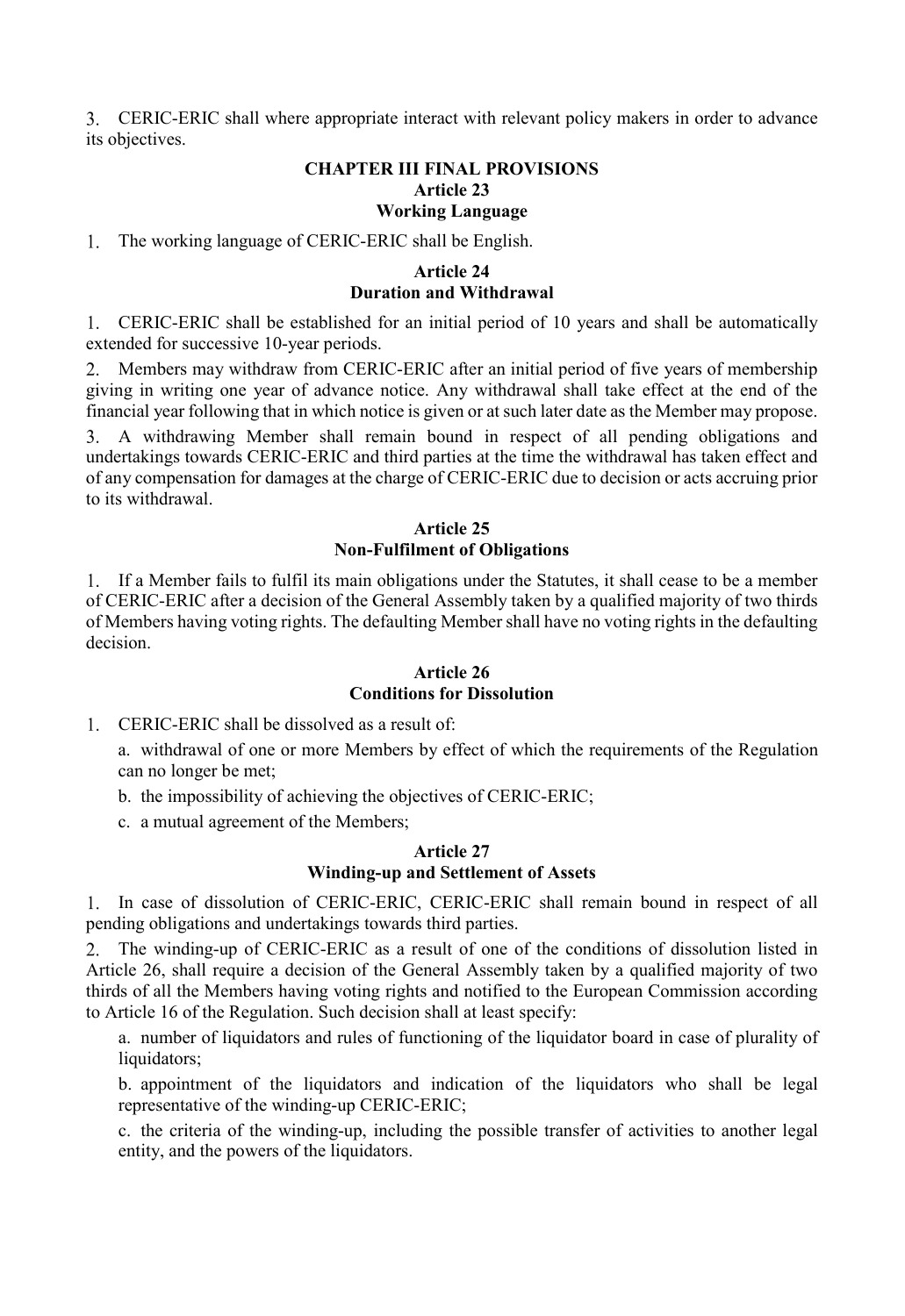CERIC-ERIC shall where appropriate interact with relevant policy makers in order to advance its objectives.

## **CHAPTER III FINAL PROVISIONS Article 23 Working Language**

1. The working language of CERIC-ERIC shall be English.

## **Article 24 Duration and Withdrawal**

CERIC-ERIC shall be established for an initial period of 10 years and shall be automatically extended for successive 10-year periods.

2. Members may withdraw from CERIC-ERIC after an initial period of five years of membership giving in writing one year of advance notice. Any withdrawal shall take effect at the end of the financial year following that in which notice is given or at such later date as the Member may propose.

A withdrawing Member shall remain bound in respect of all pending obligations and undertakings towards CERIC-ERIC and third parties at the time the withdrawal has taken effect and of any compensation for damages at the charge of CERIC-ERIC due to decision or acts accruing prior to its withdrawal.

#### **Article 25 Non-Fulfilment of Obligations**

If a Member fails to fulfil its main obligations under the Statutes, it shall cease to be a member of CERIC-ERIC after a decision of the General Assembly taken by a qualified majority of two thirds of Members having voting rights. The defaulting Member shall have no voting rights in the defaulting decision.

## **Article 26 Conditions for Dissolution**

CERIC-ERIC shall be dissolved as a result of:

a. withdrawal of one or more Members by effect of which the requirements of the Regulation can no longer be met;

- b. the impossibility of achieving the objectives of CERIC-ERIC;
- c. a mutual agreement of the Members;

## **Article 27 Winding-up and Settlement of Assets**

In case of dissolution of CERIC-ERIC, CERIC-ERIC shall remain bound in respect of all pending obligations and undertakings towards third parties.

The winding-up of CERIC-ERIC as a result of one of the conditions of dissolution listed in Article 26, shall require a decision of the General Assembly taken by a qualified majority of two thirds of all the Members having voting rights and notified to the European Commission according to Article 16 of the Regulation. Such decision shall at least specify:

a. number of liquidators and rules of functioning of the liquidator board in case of plurality of liquidators;

b. appointment of the liquidators and indication of the liquidators who shall be legal representative of the winding-up CERIC-ERIC;

c. the criteria of the winding-up, including the possible transfer of activities to another legal entity, and the powers of the liquidators.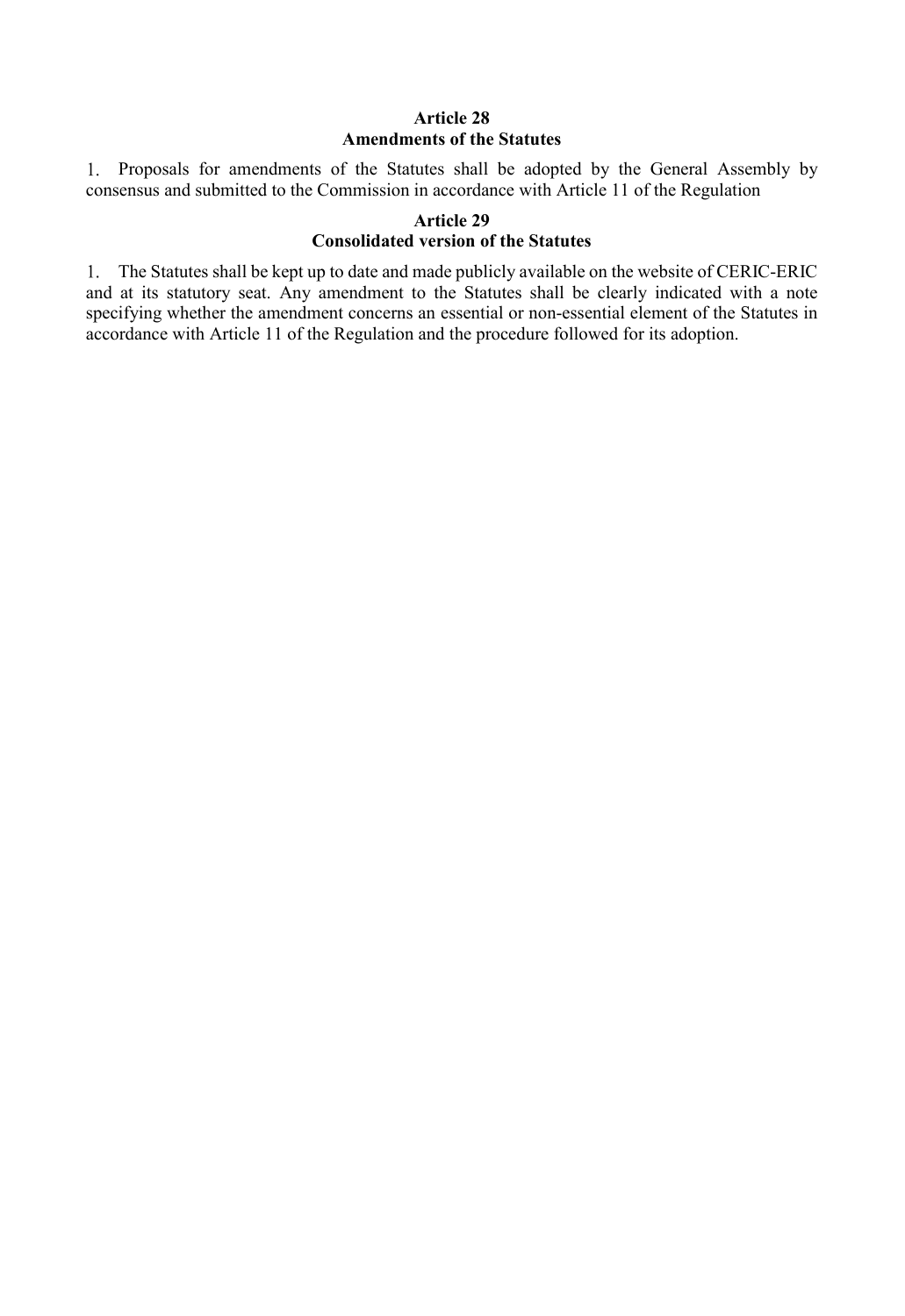### **Article 28 Amendments of the Statutes**

Proposals for amendments of the Statutes shall be adopted by the General Assembly by consensus and submitted to the Commission in accordance with Article 11 of the Regulation

#### **Article 29 Consolidated version of the Statutes**

The Statutes shall be kept up to date and made publicly available on the website of CERIC-ERIC and at its statutory seat. Any amendment to the Statutes shall be clearly indicated with a note specifying whether the amendment concerns an essential or non-essential element of the Statutes in accordance with Article 11 of the Regulation and the procedure followed for its adoption.